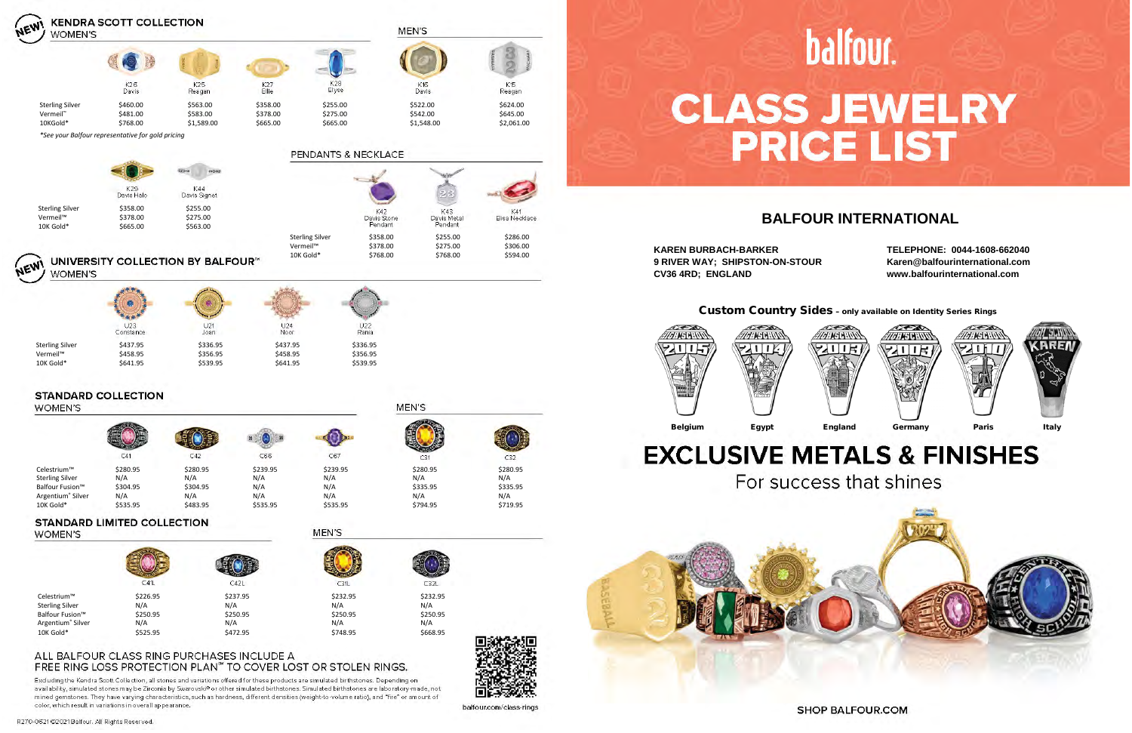Custom Country Sides – only available on Identity Series Rings



# **EXCLUSIVE METALS & FINISHES**





balfour.com/class-rings

Excluding the Kendra Scott Collection, all stones and variations offered for these products are simulated birthstones. Depending on availability, simulated stones may be Zirconia by Swarovski® or other simulated birthstones. Simulated birthstones are laboratory-made, not mined gemstones. They have varying characteristics, such as hardness, different densities (weight-to-volume ratio), and "fire" or amount of color, which result in variations in overall appearance.